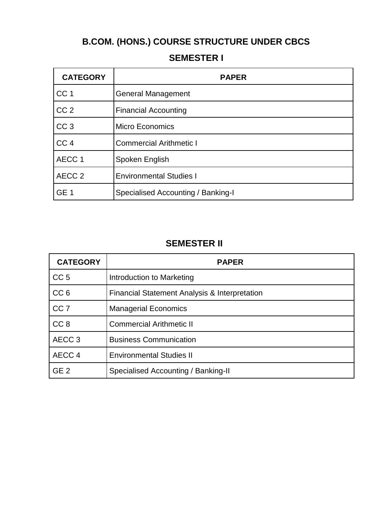# **B.COM. (HONS.) COURSE STRUCTURE UNDER CBCS**

| <b>CATEGORY</b>   | <b>PAPER</b>                       |
|-------------------|------------------------------------|
| CC <sub>1</sub>   | <b>General Management</b>          |
| CC <sub>2</sub>   | <b>Financial Accounting</b>        |
| CC <sub>3</sub>   | <b>Micro Economics</b>             |
| CC <sub>4</sub>   | <b>Commercial Arithmetic I</b>     |
| AECC <sub>1</sub> | Spoken English                     |
| AECC <sub>2</sub> | <b>Environmental Studies I</b>     |
| GE <sub>1</sub>   | Specialised Accounting / Banking-I |

### **SEMESTER I**

### **SEMESTER II**

| <b>CATEGORY</b>   | <b>PAPER</b>                                  |
|-------------------|-----------------------------------------------|
| CC <sub>5</sub>   | Introduction to Marketing                     |
| CC <sub>6</sub>   | Financial Statement Analysis & Interpretation |
| CC <sub>7</sub>   | <b>Managerial Economics</b>                   |
| CC <sub>8</sub>   | <b>Commercial Arithmetic II</b>               |
| AECC <sub>3</sub> | <b>Business Communication</b>                 |
| AECC 4            | <b>Environmental Studies II</b>               |
| GE <sub>2</sub>   | Specialised Accounting / Banking-II           |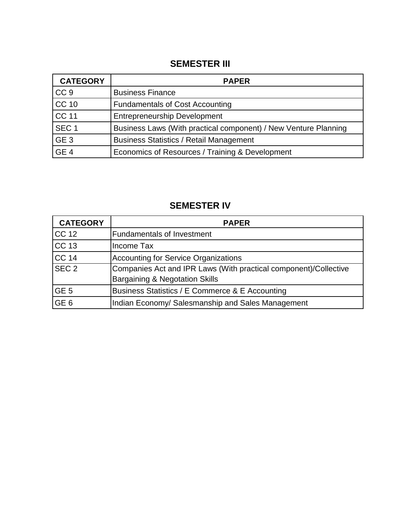#### **SEMESTER III**

| <b>CATEGORY</b>  | <b>PAPER</b>                                                    |
|------------------|-----------------------------------------------------------------|
| CC <sub>9</sub>  | <b>Business Finance</b>                                         |
| <b>CC 10</b>     | <b>Fundamentals of Cost Accounting</b>                          |
| <b>CC 11</b>     | <b>Entrepreneurship Development</b>                             |
| SEC <sub>1</sub> | Business Laws (With practical component) / New Venture Planning |
| GE <sub>3</sub>  | <b>Business Statistics / Retail Management</b>                  |
| GE <sub>4</sub>  | Economics of Resources / Training & Development                 |

# **SEMESTER IV**

| <b>CATEGORY</b>  | <b>PAPER</b>                                                                                                  |
|------------------|---------------------------------------------------------------------------------------------------------------|
| <b>CC 12</b>     | <b>Fundamentals of Investment</b>                                                                             |
| <b>CC 13</b>     | Income Tax                                                                                                    |
| CC <sub>14</sub> | Accounting for Service Organizations                                                                          |
| SEC <sub>2</sub> | Companies Act and IPR Laws (With practical component)/Collective<br><b>Bargaining &amp; Negotation Skills</b> |
| GE <sub>5</sub>  | Business Statistics / E Commerce & E Accounting                                                               |
| GE <sub>6</sub>  | Indian Economy/ Salesmanship and Sales Management                                                             |